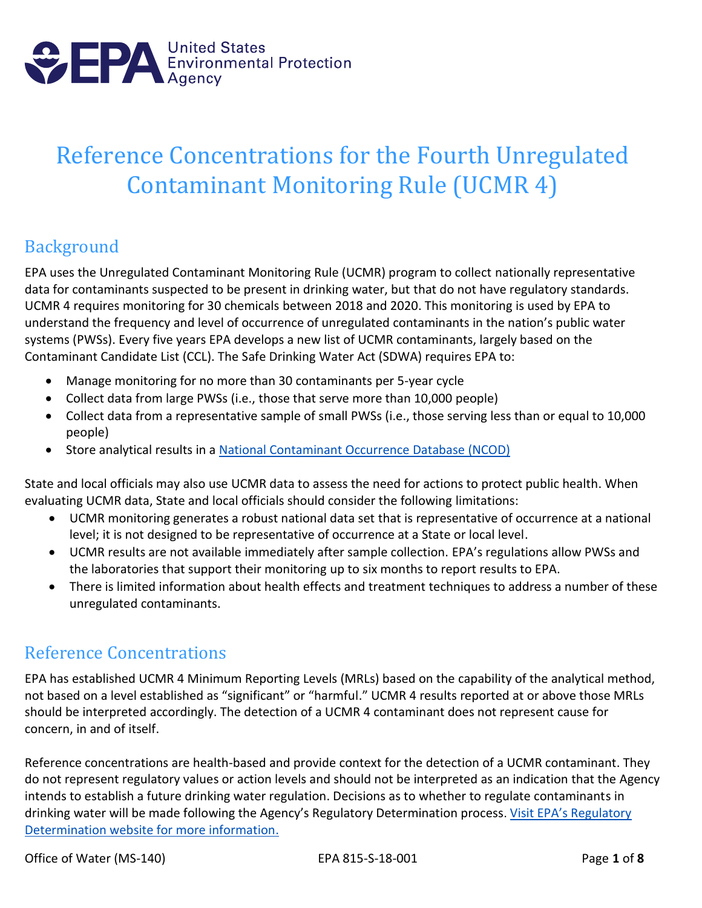

# Reference Concentrations for the Fourth Unregulated Contaminant Monitoring Rule (UCMR 4)

# Background

EPA uses the Unregulated Contaminant Monitoring Rule (UCMR) program to collect nationally representative data for contaminants suspected to be present in drinking water, but that do not have regulatory standards. UCMR 4 requires monitoring for 30 chemicals between 2018 and 2020. This monitoring is used by EPA to understand the frequency and level of occurrence of unregulated contaminants in the nation's public water systems (PWSs). Every five years EPA develops a new list of UCMR contaminants, largely based on the Contaminant Candidate List (CCL). The Safe Drinking Water Act (SDWA) requires EPA to:

- Manage monitoring for no more than 30 contaminants per 5-year cycle
- Collect data from large PWSs (i.e., those that serve more than 10,000 people)
- Collect data from a representative sample of small PWSs (i.e., those serving less than or equal to 10,000 people)
- Store analytical results in a [National Contaminant Occurrence Database \(NCOD\)](https://www.epa.gov/dwucmr/occurrence-data-unregulated-contaminant-monitoring-rule)

State and local officials may also use UCMR data to assess the need for actions to protect public health. When evaluating UCMR data, State and local officials should consider the following limitations:

- UCMR monitoring generates a robust national data set that is representative of occurrence at a national level; it is not designed to be representative of occurrence at a State or local level.
- UCMR results are not available immediately after sample collection. EPA's regulations allow PWSs and the laboratories that support their monitoring up to six months to report results to EPA.
- There is limited information about health effects and treatment techniques to address a number of these unregulated contaminants.

### Reference Concentrations

EPA has established UCMR 4 Minimum Reporting Levels (MRLs) based on the capability of the analytical method, not based on a level established as "significant" or "harmful." UCMR 4 results reported at or above those MRLs should be interpreted accordingly. The detection of a UCMR 4 contaminant does not represent cause for concern, in and of itself.

Reference concentrations are health-based and provide context for the detection of a UCMR contaminant. They do not represent regulatory values or action levels and should not be interpreted as an indication that the Agency intends to establish a future drinking water regulation. Decisions as to whether to regulate contaminants in drinking water will be made following the Agency's Regulatory Determination process. Visit EPA's Regulatory [Determination website for more information.](https://www.epa.gov/ccl/regulatory-determination-3)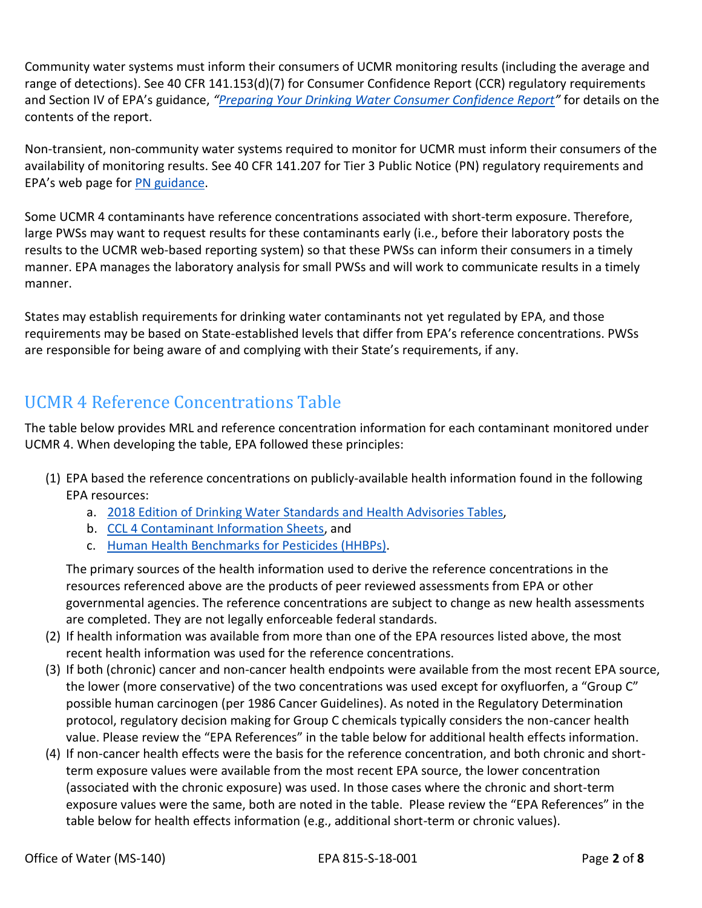Community water systems must inform their consumers of UCMR monitoring results (including the average and range of detections). See 40 CFR 141.153(d)(7) for Consumer Confidence Report (CCR) regulatory requirements and Section IV of EPA's guidance, *"[Preparing Your Drinking Water Consumer Confidence Report](https://nepis.epa.gov/exe/ZyPDF.cgi/P10072FC.PDF?Dockey=P10072FC.pdf)"* for details on the contents of the report.

Non-transient, non-community water systems required to monitor for UCMR must inform their consumers of the availability of monitoring results. See 40 CFR 141.207 for Tier 3 Public Notice (PN) regulatory requirements and EPA's web page for [PN guidance.](https://www.epa.gov/dwreginfo/public-notification-rule)

Some UCMR 4 contaminants have reference concentrations associated with short-term exposure. Therefore, large PWSs may want to request results for these contaminants early (i.e., before their laboratory posts the results to the UCMR web-based reporting system) so that these PWSs can inform their consumers in a timely manner. EPA manages the laboratory analysis for small PWSs and will work to communicate results in a timely manner.

States may establish requirements for drinking water contaminants not yet regulated by EPA, and those requirements may be based on State-established levels that differ from EPA's reference concentrations. PWSs are responsible for being aware of and complying with their State's requirements, if any.

# UCMR 4 Reference Concentrations Table

The table below provides MRL and reference concentration information for each contaminant monitored under UCMR 4. When developing the table, EPA followed these principles:

- (1) EPA based the reference concentrations on publicly-available health information found in the following EPA resources:
	- a. [2018 Edition of Drinking Water Standards and Health Advisories](https://www.epa.gov/sites/production/files/2018-03/documents/dwtable2018.pdf) Tables,
	- b. [CCL 4 Contaminant Information Sheets,](https://www.epa.gov/sites/production/files/2016-11/documents/815r16003.pdf) and
	- c. [Human Health Benchmarks](https://ofmpub.epa.gov/apex/pesticides/f?p=109:3::::::) for Pesticides (HHBPs).

The primary sources of the health information used to derive the reference concentrations in the resources referenced above are the products of peer reviewed assessments from EPA or other governmental agencies. The reference concentrations are subject to change as new health assessments are completed. They are not legally enforceable federal standards.

- (2) If health information was available from more than one of the EPA resources listed above, the most recent health information was used for the reference concentrations.
- (3) If both (chronic) cancer and non-cancer health endpoints were available from the most recent EPA source, the lower (more conservative) of the two concentrations was used except for oxyfluorfen, a "Group C" possible human carcinogen (per 1986 Cancer Guidelines). As noted in the Regulatory Determination protocol, regulatory decision making for Group C chemicals typically considers the non-cancer health value. Please review the "EPA References" in the table below for additional health effects information.
- (4) If non-cancer health effects were the basis for the reference concentration, and both chronic and shortterm exposure values were available from the most recent EPA source, the lower concentration (associated with the chronic exposure) was used. In those cases where the chronic and short-term exposure values were the same, both are noted in the table. Please review the "EPA References" in the table below for health effects information (e.g., additional short-term or chronic values).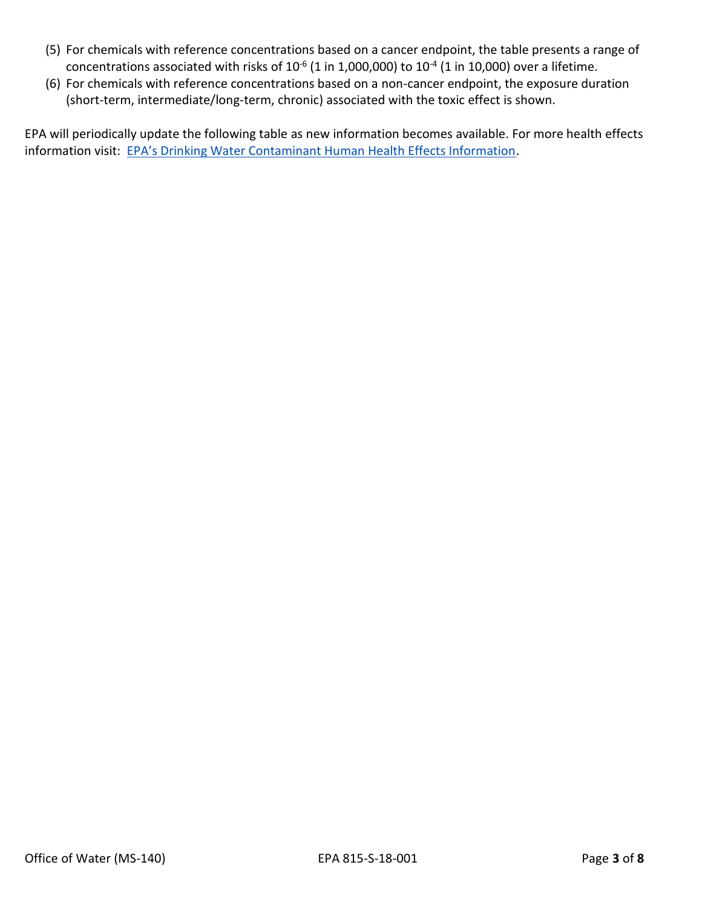- (5) For chemicals with reference concentrations based on a cancer endpoint, the table presents a range of concentrations associated with risks of  $10^{-6}$  (1 in 1,000,000) to  $10^{-4}$  (1 in 10,000) over a lifetime.
- (6) For chemicals with reference concentrations based on a non-cancer endpoint, the exposure duration (short-term, intermediate/long-term, chronic) associated with the toxic effect is shown.

EPA will periodically update the following table as new information becomes available. For more health effects information visit: [EPA's Drinking Water Contaminant Human Health Effects Information](https://www.epa.gov/dwstandardsregulations/drinking-water-contaminant-human-health-effects-information).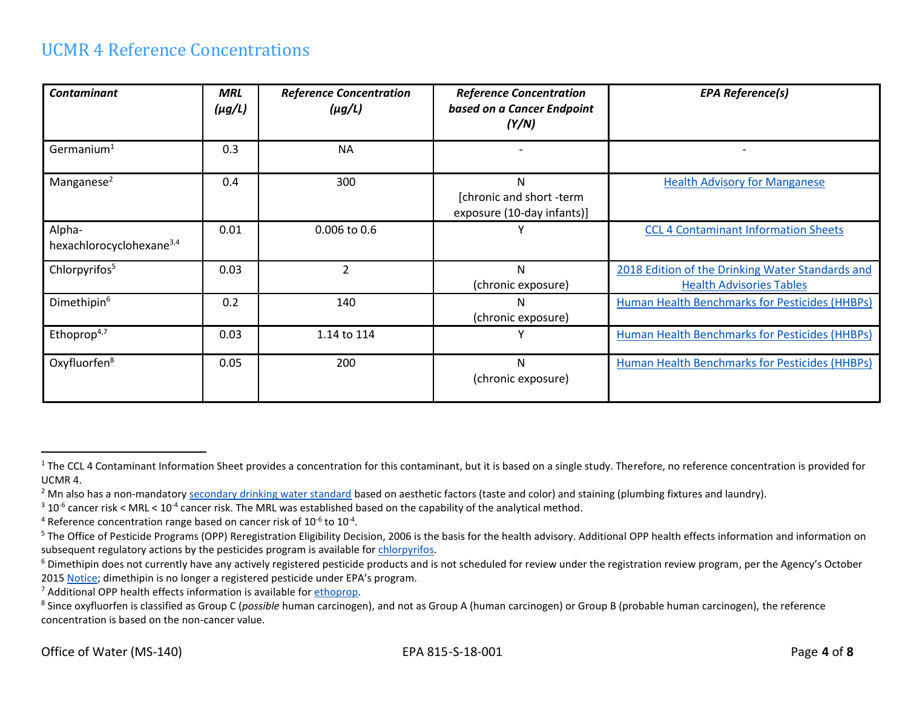### UCMR 4 Reference Concentrations

| <b>Contaminant</b>                             | <b>MRL</b><br>$(\mu g/L)$ | <b>Reference Concentration</b><br>$(\mu g/L)$ | <b>Reference Concentration</b><br>based on a Cancer Endpoint<br>(Y/N) | <b>EPA Reference(s)</b>                                                             |
|------------------------------------------------|---------------------------|-----------------------------------------------|-----------------------------------------------------------------------|-------------------------------------------------------------------------------------|
| Germanium <sup>1</sup>                         | 0.3                       | <b>NA</b>                                     |                                                                       |                                                                                     |
| Manganese <sup>2</sup>                         | 0.4                       | 300                                           | N<br>[chronic and short -term<br>exposure (10-day infants)]           | <b>Health Advisory for Manganese</b>                                                |
| Alpha-<br>hexachlorocyclohexane <sup>3,4</sup> | 0.01                      | 0.006 to 0.6                                  |                                                                       | <b>CCL 4 Contaminant Information Sheets</b>                                         |
| Chlorpyrifos <sup>5</sup>                      | 0.03                      |                                               | N<br>(chronic exposure)                                               | 2018 Edition of the Drinking Water Standards and<br><b>Health Advisories Tables</b> |
| Dimethipin <sup>6</sup>                        | 0.2                       | 140                                           | N<br>(chronic exposure)                                               | Human Health Benchmarks for Pesticides (HHBPs)                                      |
| Ethoprop <sup>4,7</sup>                        | 0.03                      | 1.14 to 114                                   | $\checkmark$                                                          | Human Health Benchmarks for Pesticides (HHBPs)                                      |
| Oxyfluorfen <sup>8</sup>                       | 0.05                      | 200                                           | N<br>(chronic exposure)                                               | Human Health Benchmarks for Pesticides (HHBPs)                                      |

 $\overline{a}$ 

<sup>&</sup>lt;sup>1</sup> The CCL 4 Contaminant Information Sheet provides a concentration for this contaminant, but it is based on a single study. Therefore, no reference concentration is provided for UCMR 4.

<sup>&</sup>lt;sup>2</sup> Mn also has a non-mandatory [secondary drinking water standard](https://www.epa.gov/dwstandardsregulations/secondary-drinking-water-standards-guidance-nuisance-chemicals) based on aesthetic factors (taste and color) and staining (plumbing fixtures and laundry).

 $3$  10<sup>-6</sup> cancer risk < MRL < 10<sup>-4</sup> cancer risk. The MRL was established based on the capability of the analytical method.

<sup>&</sup>lt;sup>4</sup> Reference concentration range based on cancer risk of  $10^{-6}$  to  $10^{-4}$ .

<sup>&</sup>lt;sup>5</sup> The Office of Pesticide Programs (OPP) Reregistration Eligibility Decision, 2006 is the basis for the health advisory. Additional OPP health effects information and information on subsequent regulatory actions by the pesticides program is available for [chlorpyrifos.](https://iaspub.epa.gov/apex/pesticides/f?p=CHEMICALSEARCH:31:::NO:1,3,31,7,12,25:P3_XCHEMICAL_ID:1822)

<sup>&</sup>lt;sup>6</sup> Dimethipin does not currently have any actively registered pesticide products and is not scheduled for review under the registration review program, per the Agency's October 2015 [Notice](https://www.federalregister.gov/documents/2015/10/02/2015-25167/registration-review-conventional-biopesticide-and-antimicrobial-pesticide-dockets-opened-for-review); dimethipin is no longer a registered pesticide under EPA's program.

<sup>7</sup> Additional OPP health effects information is available for [ethoprop.](https://www.regulations.gov/document?D=EPA-HQ-OPP-2008-0560-0028)

<sup>8</sup> Since oxyfluorfen is classified as Group C (*possible* human carcinogen), and not as Group A (human carcinogen) or Group B (probable human carcinogen), the reference concentration is based on the non-cancer value.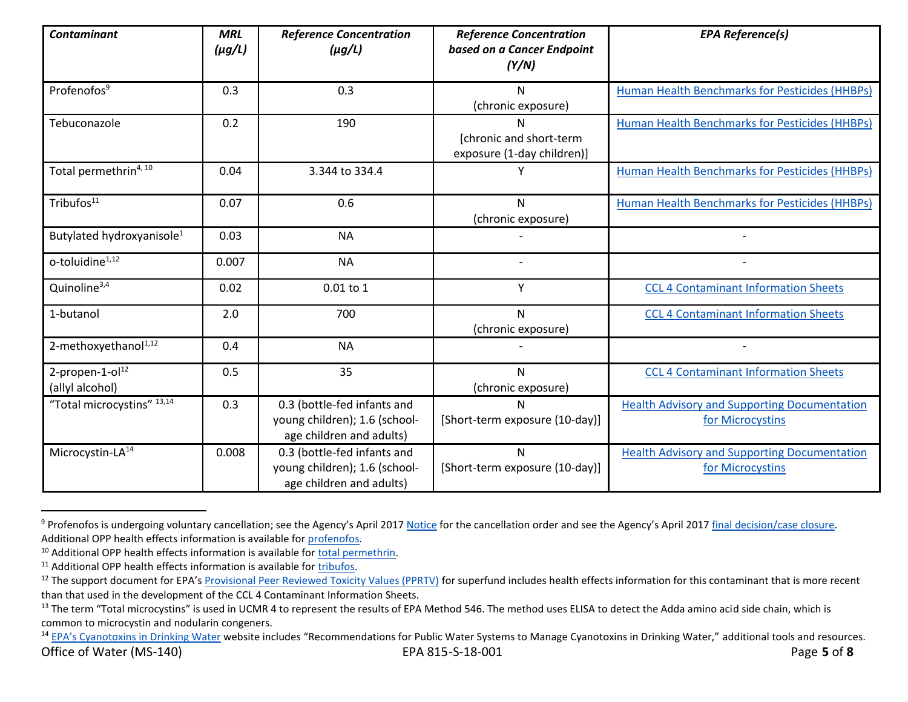| <b>Contaminant</b>                             | <b>MRL</b><br>$(\mu g/L)$ | <b>Reference Concentration</b><br>$(\mu g/L)$                                            | <b>Reference Concentration</b><br>based on a Cancer Endpoint<br>(Y/N) | <b>EPA Reference(s)</b>                                                 |
|------------------------------------------------|---------------------------|------------------------------------------------------------------------------------------|-----------------------------------------------------------------------|-------------------------------------------------------------------------|
| Profenofos <sup>9</sup>                        | 0.3                       | 0.3                                                                                      | N<br>(chronic exposure)                                               | Human Health Benchmarks for Pesticides (HHBPs)                          |
| Tebuconazole                                   | 0.2                       | 190                                                                                      | N<br>[chronic and short-term<br>exposure (1-day children)]            | Human Health Benchmarks for Pesticides (HHBPs)                          |
| Total permethrin <sup>4, 10</sup>              | 0.04                      | 3.344 to 334.4                                                                           |                                                                       | <b>Human Health Benchmarks for Pesticides (HHBPs)</b>                   |
| Tribufos <sup>11</sup>                         | 0.07                      | 0.6                                                                                      | N<br>(chronic exposure)                                               | Human Health Benchmarks for Pesticides (HHBPs)                          |
| Butylated hydroxyanisole <sup>1</sup>          | 0.03                      | <b>NA</b>                                                                                |                                                                       |                                                                         |
| o-toluidine <sup>1,12</sup>                    | 0.007                     | <b>NA</b>                                                                                |                                                                       |                                                                         |
| Quinoline <sup>3,4</sup>                       | 0.02                      | $0.01$ to $1$                                                                            | Y                                                                     | <b>CCL 4 Contaminant Information Sheets</b>                             |
| 1-butanol                                      | 2.0                       | 700                                                                                      | N<br>(chronic exposure)                                               | <b>CCL 4 Contaminant Information Sheets</b>                             |
| 2-methoxyethanol <sup>1,12</sup>               | 0.4                       | <b>NA</b>                                                                                |                                                                       |                                                                         |
| 2-propen-1-ol <sup>12</sup><br>(allyl alcohol) | 0.5                       | 35                                                                                       | N<br>(chronic exposure)                                               | <b>CCL 4 Contaminant Information Sheets</b>                             |
| "Total microcystins" 13,14                     | 0.3                       | 0.3 (bottle-fed infants and<br>young children); 1.6 (school-<br>age children and adults) | N<br>[Short-term exposure (10-day)]                                   | <b>Health Advisory and Supporting Documentation</b><br>for Microcystins |
| Microcystin-LA <sup>14</sup>                   | 0.008                     | 0.3 (bottle-fed infants and<br>young children); 1.6 (school-<br>age children and adults) | N<br>[Short-term exposure (10-day)]                                   | <b>Health Advisory and Supporting Documentation</b><br>for Microcystins |

<sup>&</sup>lt;sup>9</sup> Profenofos is undergoing voluntary cancellation; see the Agency's April 2017 [Notice](https://www.gpo.gov/fdsys/pkg/FR-2017-04-10/pdf/2017-07133.pdf) for the cancellation order and see the Agency's April 2017 [final decision/case closure.](https://www.regulations.gov/document?D=EPA-HQ-OPP-2008-0345-0059) Additional OPP health effects information is available fo[r profenofos.](https://www.regulations.gov/document?D=EPA-HQ-OPP-2008-0345-0024)

 $\overline{a}$ 

<sup>&</sup>lt;sup>10</sup> Additional OPP health effects information is available for [total permethrin.](https://www.regulations.gov/document?D=EPA-HQ-OPP-2011-0039-0088)

<sup>&</sup>lt;sup>11</sup> Additional OPP health effects information is available for [tribufos.](https://www.regulations.gov/document?D=EPA-HQ-OPP-2008-0883-0011)

<sup>&</sup>lt;sup>12</sup> The support document for EPA's [Provisional Peer Reviewed Toxicity Values \(PPRTV\)](https://hhpprtv.ornl.gov/quickview/pprtv_papers.php) for superfund includes health effects information for this contaminant that is more recent than that used in the development of the CCL 4 Contaminant Information Sheets.

<sup>&</sup>lt;sup>13</sup> The term "Total microcystins" is used in UCMR 4 to represent the results of EPA Method 546. The method uses ELISA to detect the Adda amino acid side chain, which is common to microcystin and nodularin congeners.

Office of Water (MS-140) EPA 815-S-18-001 Page **5** of **8** <sup>14</sup> [EPA's Cyanotoxins](https://www.epa.gov/ground-water-and-drinking-water/cyanotoxins-drinking-water) in Drinking Water website includes "Recommendations for Public Water Systems to Manage Cyanotoxins in Drinking Water," additional tools and resources.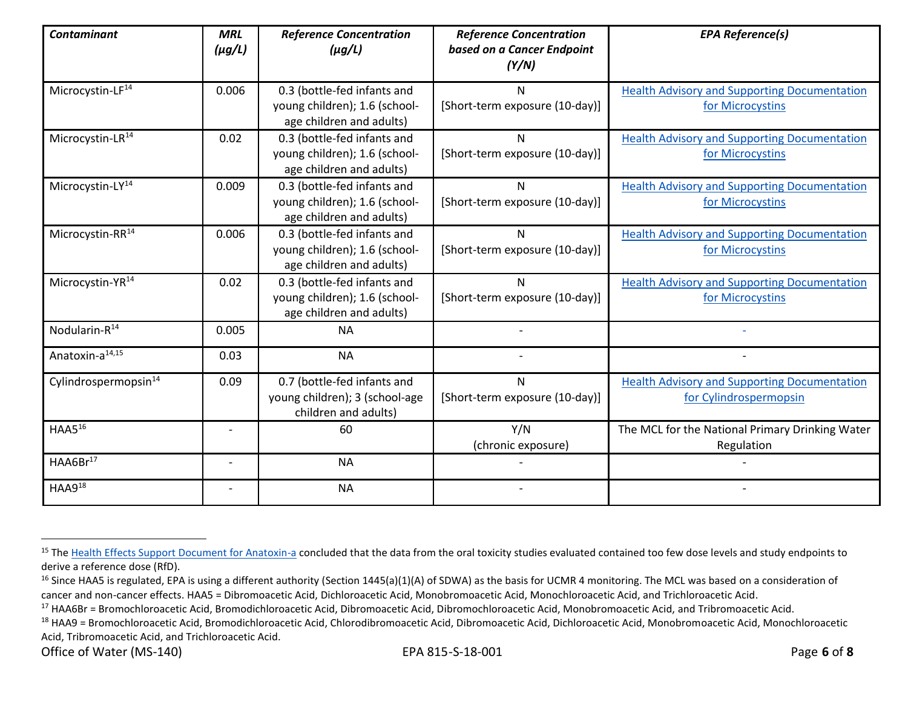| <b>Contaminant</b>               | <b>MRL</b><br>$(\mu g/L)$ | <b>Reference Concentration</b><br>$(\mu g/L)$                                            | <b>Reference Concentration</b><br>based on a Cancer Endpoint<br>(Y/N) | <b>EPA Reference(s)</b>                                                       |
|----------------------------------|---------------------------|------------------------------------------------------------------------------------------|-----------------------------------------------------------------------|-------------------------------------------------------------------------------|
| Microcystin-LF <sup>14</sup>     | 0.006                     | 0.3 (bottle-fed infants and<br>young children); 1.6 (school-<br>age children and adults) | N<br>[Short-term exposure (10-day)]                                   | <b>Health Advisory and Supporting Documentation</b><br>for Microcystins       |
| Microcystin-LR <sup>14</sup>     | 0.02                      | 0.3 (bottle-fed infants and<br>young children); 1.6 (school-<br>age children and adults) | $\mathsf{N}$<br>[Short-term exposure (10-day)]                        | <b>Health Advisory and Supporting Documentation</b><br>for Microcystins       |
| Microcystin-LY <sup>14</sup>     | 0.009                     | 0.3 (bottle-fed infants and<br>young children); 1.6 (school-<br>age children and adults) | N<br>[Short-term exposure (10-day)]                                   | <b>Health Advisory and Supporting Documentation</b><br>for Microcystins       |
| Microcystin-RR <sup>14</sup>     | 0.006                     | 0.3 (bottle-fed infants and<br>young children); 1.6 (school-<br>age children and adults) | N<br>[Short-term exposure (10-day)]                                   | <b>Health Advisory and Supporting Documentation</b><br>for Microcystins       |
| Microcystin-YR <sup>14</sup>     | 0.02                      | 0.3 (bottle-fed infants and<br>young children); 1.6 (school-<br>age children and adults) | N<br>[Short-term exposure (10-day)]                                   | <b>Health Advisory and Supporting Documentation</b><br>for Microcystins       |
| Nodularin-R <sup>14</sup>        | 0.005                     | <b>NA</b>                                                                                |                                                                       |                                                                               |
| Anatoxin-a <sup>14,15</sup>      | 0.03                      | <b>NA</b>                                                                                |                                                                       |                                                                               |
| Cylindrospermopsin <sup>14</sup> | 0.09                      | 0.7 (bottle-fed infants and<br>young children); 3 (school-age<br>children and adults)    | N<br>[Short-term exposure (10-day)]                                   | <b>Health Advisory and Supporting Documentation</b><br>for Cylindrospermopsin |
| HAAS <sup>16</sup>               |                           | 60                                                                                       | Y/N<br>(chronic exposure)                                             | The MCL for the National Primary Drinking Water<br>Regulation                 |
| HAAGBr <sup>17</sup>             | $\overline{\phantom{a}}$  | <b>NA</b>                                                                                |                                                                       |                                                                               |
| $HAA9^{18}$                      |                           | <b>NA</b>                                                                                |                                                                       |                                                                               |

 $\overline{a}$ 

<sup>&</sup>lt;sup>15</sup> The [Health Effects Support Document for Anatoxin-a](https://www.epa.gov/ground-water-and-drinking-water/drinking-water-health-advisory-documents-cyanobacterial-toxins) concluded that the data from the oral toxicity studies evaluated contained too few dose levels and study endpoints to derive a reference dose (RfD).

<sup>&</sup>lt;sup>16</sup> Since HAA5 is regulated, EPA is using a different authority (Section 1445(a)(1)(A) of SDWA) as the basis for UCMR 4 monitoring. The MCL was based on a consideration of cancer and non-cancer effects. HAA5 = Dibromoacetic Acid, Dichloroacetic Acid, Monobromoacetic Acid, Monochloroacetic Acid, and Trichloroacetic Acid.

<sup>&</sup>lt;sup>17</sup> HAA6Br = Bromochloroacetic Acid, Bromodichloroacetic Acid, Dibromoacetic Acid, Dibromochloroacetic Acid, Monobromoacetic Acid, and Tribromoacetic Acid.

<sup>&</sup>lt;sup>18</sup> HAA9 = Bromochloroacetic Acid, Bromodichloroacetic Acid, Chlorodibromoacetic Acid, Dibromoacetic Acid, Dichloroacetic Acid, Monobromoacetic Acid, Monochloroacetic Acid, Tribromoacetic Acid, and Trichloroacetic Acid.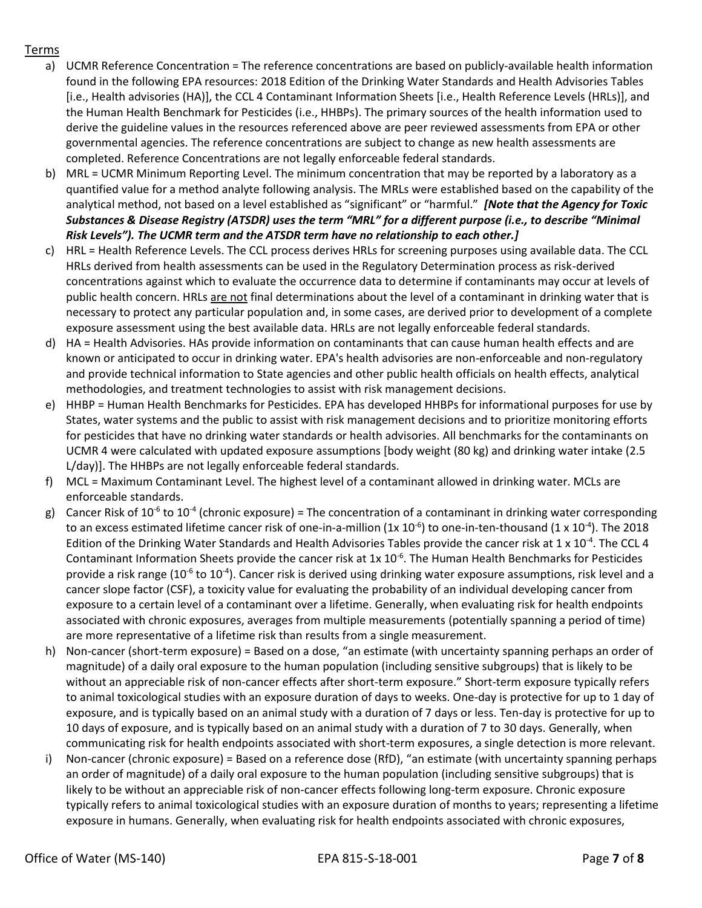#### Terms

- a) UCMR Reference Concentration = The reference concentrations are based on publicly-available health information found in the following EPA resources: 2018 Edition of the Drinking Water Standards and Health Advisories Tables [i.e., Health advisories (HA)], the CCL 4 Contaminant Information Sheets [i.e., Health Reference Levels (HRLs)], and the Human Health Benchmark for Pesticides (i.e., HHBPs). The primary sources of the health information used to derive the guideline values in the resources referenced above are peer reviewed assessments from EPA or other governmental agencies. The reference concentrations are subject to change as new health assessments are completed. Reference Concentrations are not legally enforceable federal standards.
- b) MRL = UCMR Minimum Reporting Level. The minimum concentration that may be reported by a laboratory as a quantified value for a method analyte following analysis. The MRLs were established based on the capability of the analytical method, not based on a level established as "significant" or "harmful." *[Note that the Agency for Toxic Substances & Disease Registry (ATSDR) uses the term "MRL" for a different purpose (i.e., to describe "Minimal Risk Levels"). The UCMR term and the ATSDR term have no relationship to each other.]*
- c) HRL = Health Reference Levels. The CCL process derives HRLs for screening purposes using available data. The CCL HRLs derived from health assessments can be used in the Regulatory Determination process as risk-derived concentrations against which to evaluate the occurrence data to determine if contaminants may occur at levels of public health concern. HRLs are not final determinations about the level of a contaminant in drinking water that is necessary to protect any particular population and, in some cases, are derived prior to development of a complete exposure assessment using the best available data. HRLs are not legally enforceable federal standards.
- d) HA = Health Advisories. HAs provide information on contaminants that can cause human health effects and are known or anticipated to occur in drinking water. EPA's health advisories are non-enforceable and non-regulatory and provide technical information to State agencies and other public health officials on health effects, analytical methodologies, and treatment technologies to assist with risk management decisions.
- e) HHBP = Human Health Benchmarks for Pesticides. EPA has developed HHBPs for informational purposes for use by States, water systems and the public to assist with risk management decisions and to prioritize monitoring efforts for pesticides that have no drinking water standards or health advisories. All benchmarks for the contaminants on UCMR 4 were calculated with updated exposure assumptions [body weight (80 kg) and drinking water intake (2.5 L/day)]. The HHBPs are not legally enforceable federal standards.
- f) MCL = Maximum Contaminant Level. The highest level of a contaminant allowed in drinking water. MCLs are enforceable standards.
- g) Cancer Risk of 10<sup>-6</sup> to 10<sup>-4</sup> (chronic exposure) = The concentration of a contaminant in drinking water corresponding to an excess estimated lifetime cancer risk of one-in-a-million (1x 10<sup>-6</sup>) to one-in-ten-thousand (1 x 10<sup>-4</sup>). The 2018 Edition of the Drinking Water Standards and Health Advisories Tables provide the cancer risk at 1 x 10<sup>-4</sup>. The CCL 4 Contaminant Information Sheets provide the cancer risk at  $1x$   $10^{-6}$ . The Human Health Benchmarks for Pesticides provide a risk range (10<sup>-6</sup> to 10<sup>-4</sup>). Cancer risk is derived using drinking water exposure assumptions, risk level and a cancer slope factor (CSF), a toxicity value for evaluating the probability of an individual developing cancer from exposure to a certain level of a contaminant over a lifetime. Generally, when evaluating risk for health endpoints associated with chronic exposures, averages from multiple measurements (potentially spanning a period of time) are more representative of a lifetime risk than results from a single measurement.
- h) Non-cancer (short-term exposure) = Based on a dose, "an estimate (with uncertainty spanning perhaps an order of magnitude) of a daily oral exposure to the human population (including sensitive subgroups) that is likely to be without an appreciable risk of non-cancer effects after short-term exposure." Short-term exposure typically refers to animal toxicological studies with an exposure duration of days to weeks. One-day is protective for up to 1 day of exposure, and is typically based on an animal study with a duration of 7 days or less. Ten-day is protective for up to 10 days of exposure, and is typically based on an animal study with a duration of 7 to 30 days. Generally, when communicating risk for health endpoints associated with short-term exposures, a single detection is more relevant.
- i) Non-cancer (chronic exposure) = Based on a reference dose (RfD), "an estimate (with uncertainty spanning perhaps an order of magnitude) of a daily oral exposure to the human population (including sensitive subgroups) that is likely to be without an appreciable risk of non-cancer effects following long-term exposure. Chronic exposure typically refers to animal toxicological studies with an exposure duration of months to years; representing a lifetime exposure in humans. Generally, when evaluating risk for health endpoints associated with chronic exposures,